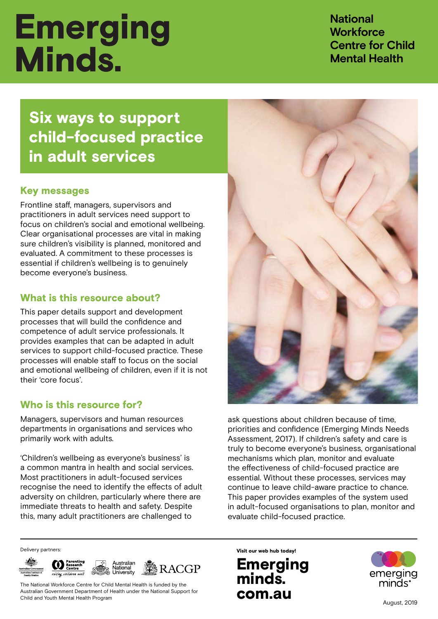# **Emerging** Minds.

**National Workforce Centre for Child Mental Health**

Six ways to support **child-focused practice**<br>Liste della condition **in adult service**<br>I Six ways to support child-focused practice in adult services

### Key messages

Frontline staff, managers, supervisors and practitioners in adult services need support to focus on children's social and emotional wellbeing. Clear organisational processes are vital in making sure children's visibility is planned, monitored and evaluated. A commitment to these processes is essential if children's wellbeing is to genuinely become everyone's business.

### What is this resource about?

This paper details support and development processes that will build the confidence and competence of adult service professionals. It provides examples that can be adapted in adult services to support child-focused practice. These processes will enable staff to focus on the social and emotional wellbeing of children, even if it is not their 'core focus'.

### Who is this resource for?

Managers, supervisors and human resources departments in organisations and services who primarily work with adults.

'Children's wellbeing as everyone's business' is a common mantra in health and social services. Most practitioners in adult-focused services recognise the need to identify the effects of adult adversity on children, particularly where there are immediate threats to health and safety. Despite this, many adult practitioners are challenged to



ask questions about children because of time, priorities and confidence (Emerging Minds Needs Assessment, 2017). If children's safety and care is truly to become everyone's business, organisational mechanisms which plan, monitor and evaluate the effectiveness of child-focused practice are essential. Without these processes, services may continue to leave child-aware practice to chance. This paper provides examples of the system used in adult-focused organisations to plan, monitor and evaluate child-focused practice.



The National Workforce Centre for Child Mental Health is funded by the Australian Government Department of Health under the National Support for Child and Youth Mental Health Program

Delivery partners: **Visit our web hub today!** 

# Emerging minds. com.au

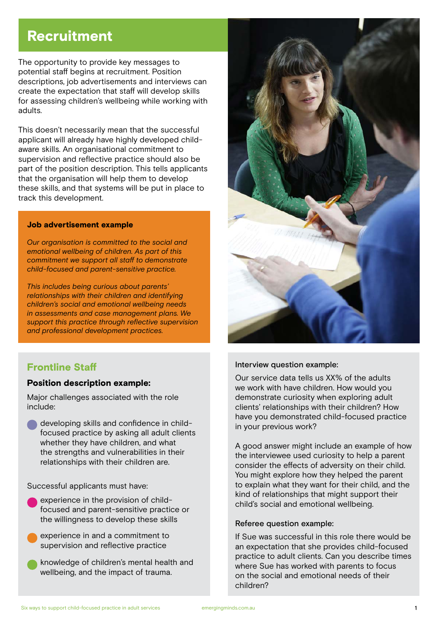# **Recruitment**

The opportunity to provide key messages to potential staff begins at recruitment. Position descriptions, job advertisements and interviews can create the expectation that staff will develop skills for assessing children's wellbeing while working with adults.

This doesn't necessarily mean that the successful applicant will already have highly developed childaware skills. An organisational commitment to supervision and reflective practice should also be part of the position description. This tells applicants that the organisation will help them to develop these skills, and that systems will be put in place to track this development.

#### Job advertisement example

*Our organisation is committed to the social and emotional wellbeing of children. As part of this commitment we support all staff to demonstrate child-focused and parent-sensitive practice.*

*This includes being curious about parents' relationships with their children and identifying children's social and emotional wellbeing needs in assessments and case management plans. We support this practice through reflective supervision and professional development practices.*

### Frontline Staff

#### Position description example:

Major challenges associated with the role include:

developing skills and confidence in childfocused practice by asking all adult clients whether they have children, and what the strengths and vulnerabilities in their relationships with their children are.

Successful applicants must have:

- experience in the provision of childfocused and parent-sensitive practice or the willingness to develop these skills
- experience in and a commitment to supervision and reflective practice
- knowledge of children's mental health and wellbeing, and the impact of trauma.



#### Interview question example:

Our service data tells us XX% of the adults we work with have children. How would you demonstrate curiosity when exploring adult clients' relationships with their children? How have you demonstrated child-focused practice in your previous work?

A good answer might include an example of how the interviewee used curiosity to help a parent consider the effects of adversity on their child. You might explore how they helped the parent to explain what they want for their child, and the kind of relationships that might support their child's social and emotional wellbeing.

#### Referee question example:

If Sue was successful in this role there would be an expectation that she provides child-focused practice to adult clients. Can you describe times where Sue has worked with parents to focus on the social and emotional needs of their children?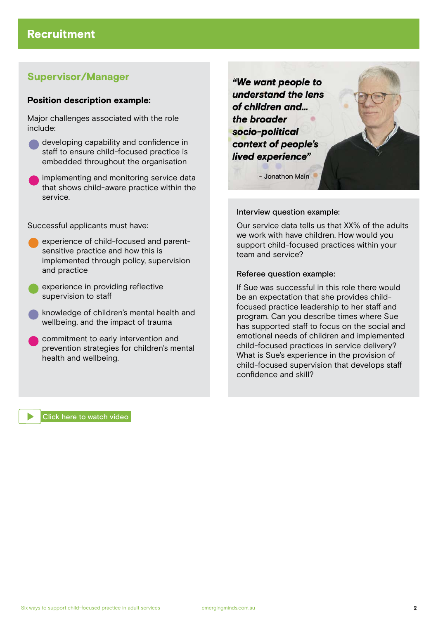### Supervisor/Manager

#### Position description example:

Major challenges associated with the role include:

developing capability and confidence in staff to ensure child-focused practice is embedded throughout the organisation

implementing and monitoring service data that shows child-aware practice within the service.

Successful applicants must have:

- experience of child-focused and parentsensitive practice and how this is implemented through policy, supervision and practice
- experience in providing reflective supervision to staff
- knowledge of children's mental health and wellbeing, and the impact of trauma
- commitment to early intervention and prevention strategies for children's mental health and wellbeing.

"We want people to understand the lens of children and... the broader socio-political context of people's lived experience"



Interview question example:

Our service data tells us that XX% of the adults we work with have children. How would you support child-focused practices within your team and service?

#### Referee question example:

If Sue was successful in this role there would be an expectation that she provides childfocused practice leadership to her staff and program. Can you describe times where Sue has supported staff to focus on the social and emotional needs of children and implemented child-focused practices in service delivery? What is Sue's experience in the provision of child-focused supervision that develops staff confidence and skill?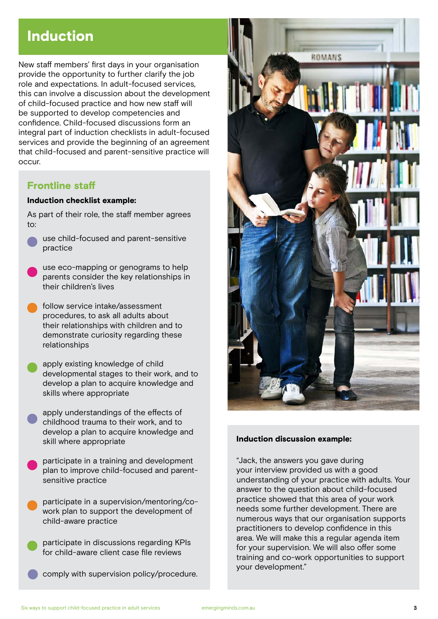# Induction

New staff members' first days in your organisation provide the opportunity to further clarify the job role and expectations. In adult-focused services, this can involve a discussion about the development of child-focused practice and how new staff will be supported to develop competencies and confidence. Child-focused discussions form an integral part of induction checklists in adult-focused services and provide the beginning of an agreement that child-focused and parent-sensitive practice will occur.

### Frontline staff

#### Induction checklist example:

As part of their role, the staff member agrees to:

- use child-focused and parent-sensitive practice
- use eco-mapping or genograms to help parents consider the key relationships in their children's lives
- follow service intake/assessment procedures, to ask all adults about their relationships with children and to demonstrate curiosity regarding these relationships

apply existing knowledge of child developmental stages to their work, and to develop a plan to acquire knowledge and skills where appropriate

- apply understandings of the effects of childhood trauma to their work, and to develop a plan to acquire knowledge and skill where appropriate
- participate in a training and development plan to improve child-focused and parentsensitive practice
- participate in a supervision/mentoring/cowork plan to support the development of child-aware practice

participate in discussions regarding KPIs for child-aware client case file reviews

comply with supervision policy/procedure.



#### Induction discussion example:

"Jack, the answers you gave during your interview provided us with a good understanding of your practice with adults. Your answer to the question about child-focused practice showed that this area of your work needs some further development. There are numerous ways that our organisation supports practitioners to develop confidence in this area. We will make this a regular agenda item for your supervision. We will also offer some training and co-work opportunities to support your development."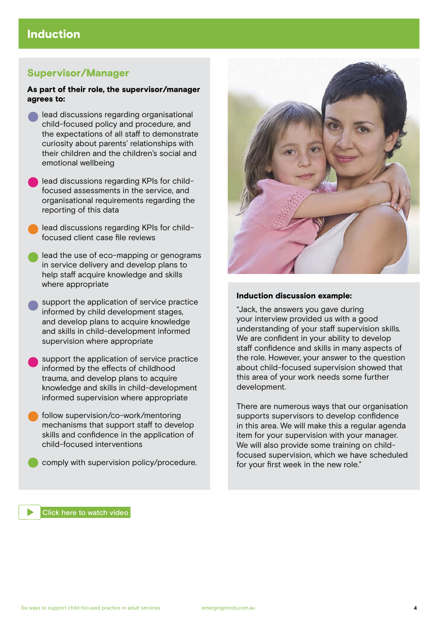### Supervisor/Manager

#### As part of their role, the supervisor/manager agrees to:

- lead discussions regarding organisational child-focused policy and procedure, and the expectations of all staff to demonstrate curiosity about parents' relationships with their children and the children's social and emotional wellbeing
- lead discussions regarding KPIs for childfocused assessments in the service, and organisational requirements regarding the reporting of this data
- lead discussions regarding KPIs for childfocused client case file reviews
- lead the use of eco-mapping or genograms in service delivery and develop plans to help staff acquire knowledge and skills where appropriate
- support the application of service practice informed by child development stages, and develop plans to acquire knowledge and skills in child-development informed supervision where appropriate
- support the application of service practice informed by the effects of childhood trauma, and develop plans to acquire knowledge and skills in child-development informed supervision where appropriate
- follow supervision/co-work/mentoring mechanisms that support staff to develop skills and confidence in the application of child-focused interventions
	- comply with supervision policy/procedure.



#### Induction discussion example:

"Jack, the answers you gave during your interview provided us with a good understanding of your staff supervision skills. We are confident in your ability to develop staff confidence and skills in many aspects of the role. However, your answer to the question about child-focused supervision showed that this area of your work needs some further development.

There are numerous ways that our organisation supports supervisors to develop confidence in this area. We will make this a regular agenda item for your supervision with your manager. We will also provide some training on childfocused supervision, which we have scheduled for your first week in the new role."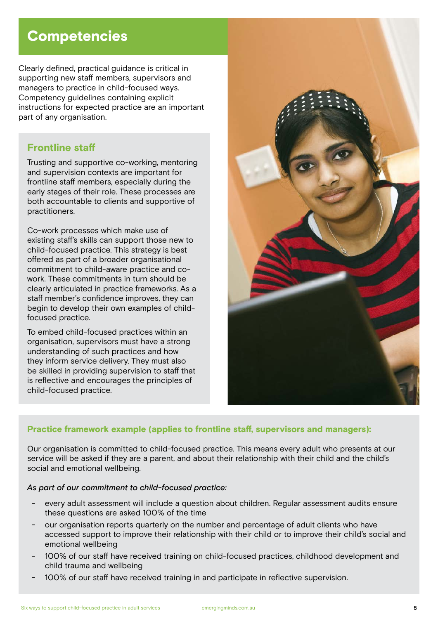# **Competencies**

Clearly defined, practical guidance is critical in supporting new staff members, supervisors and managers to practice in child-focused ways. Competency guidelines containing explicit instructions for expected practice are an important part of any organisation.

### Frontline staff

Trusting and supportive co-working, mentoring and supervision contexts are important for frontline staff members, especially during the early stages of their role. These processes are both accountable to clients and supportive of practitioners.

Co-work processes which make use of existing staff's skills can support those new to child-focused practice. This strategy is best offered as part of a broader organisational commitment to child-aware practice and cowork. These commitments in turn should be clearly articulated in practice frameworks. As a staff member's confidence improves, they can begin to develop their own examples of childfocused practice.

To embed child-focused practices within an organisation, supervisors must have a strong understanding of such practices and how they inform service delivery. They must also be skilled in providing supervision to staff that is reflective and encourages the principles of child-focused practice.



#### Practice framework example (applies to frontline staff, supervisors and managers):

Our organisation is committed to child-focused practice. This means every adult who presents at our service will be asked if they are a parent, and about their relationship with their child and the child's social and emotional wellbeing.

#### *As part of our commitment to child-focused practice:*

- every adult assessment will include a question about children. Regular assessment audits ensure these questions are asked 100% of the time
- our organisation reports quarterly on the number and percentage of adult clients who have accessed support to improve their relationship with their child or to improve their child's social and emotional wellbeing
- 100% of our staff have received training on child-focused practices, childhood development and child trauma and wellbeing
- 100% of our staff have received training in and participate in reflective supervision.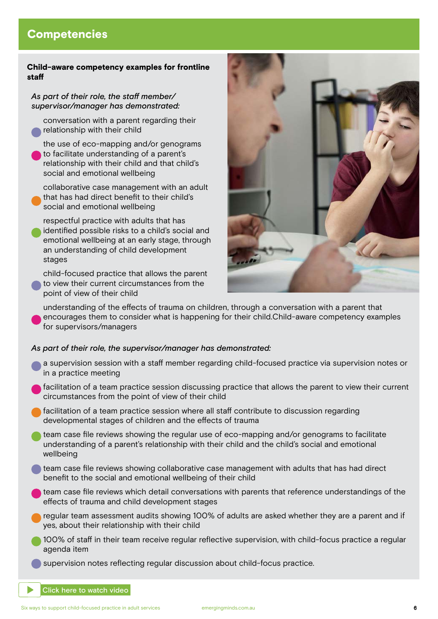## **Competencies**

#### Child-aware competency examples for frontline staff

#### *As part of their role, the staff member/ supervisor/manager has demonstrated:*

conversation with a parent regarding their relationship with their child

the use of eco-mapping and/or genograms to facilitate understanding of a parent's relationship with their child and that child's social and emotional wellbeing

collaborative case management with an adult that has had direct benefit to their child's social and emotional wellbeing

respectful practice with adults that has identified possible risks to a child's social and emotional wellbeing at an early stage, through an understanding of child development stages

child-focused practice that allows the parent to view their current circumstances from the point of view of their child



understanding of the effects of trauma on children, through a conversation with a parent that encourages them to consider what is happening for their child.Child-aware competency examples for supervisors/managers

#### *As part of their role, the supervisor/manager has demonstrated:*

- a supervision session with a staff member regarding child-focused practice via supervision notes or in a practice meeting
- facilitation of a team practice session discussing practice that allows the parent to view their current circumstances from the point of view of their child
- facilitation of a team practice session where all staff contribute to discussion regarding developmental stages of children and the effects of trauma
- team case file reviews showing the regular use of eco-mapping and/or genograms to facilitate understanding of a parent's relationship with their child and the child's social and emotional wellbeing
- team case file reviews showing collaborative case management with adults that has had direct benefit to the social and emotional wellbeing of their child
- team case file reviews which detail conversations with parents that reference understandings of the effects of trauma and child development stages
- regular team assessment audits showing 100% of adults are asked whether they are a parent and if yes, about their relationship with their child
- 100% of staff in their team receive regular reflective supervision, with child-focus practice a regular agenda item
- supervision notes reflecting regular discussion about child-focus practice.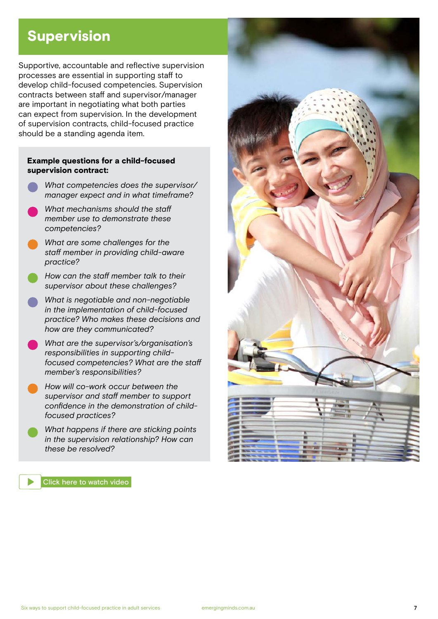# Supervision

Supportive, accountable and reflective supervision processes are essential in supporting staff to develop child-focused competencies. Supervision contracts between staff and supervisor/manager are important in negotiating what both parties can expect from supervision. In the development of supervision contracts, child-focused practice should be a standing agenda item.

#### Example questions for a child-focused supervision contract:

- *What competencies does the supervisor/ manager expect and in what timeframe?*
- *What mechanisms should the staff member use to demonstrate these competencies?*
- *What are some challenges for the staff member in providing child-aware practice?*
- *How can the staff member talk to their supervisor about these challenges?*
- *What is negotiable and non-negotiable in the implementation of child-focused practice? Who makes these decisions and how are they communicated?*
- *What are the supervisor's/organisation's responsibilities in supporting childfocused competencies? What are the staff member's responsibilities?*
- *How will co-work occur between the supervisor and staff member to support confidence in the demonstration of childfocused practices?*
- *What happens if there are sticking points in the supervision relationship? How can these be resolved?*



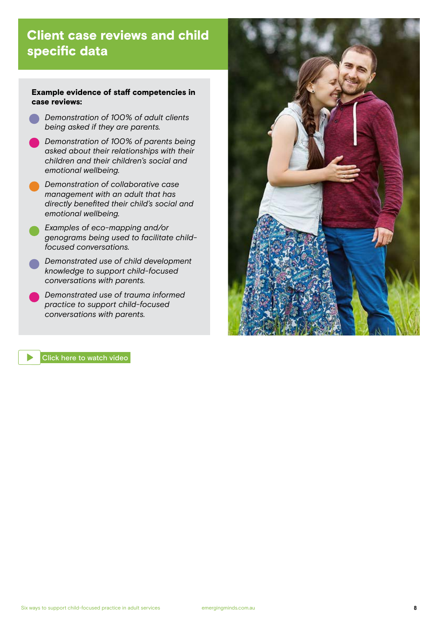# Client case reviews and child specific data

#### Example evidence of staff competencies in case reviews:

- *Demonstration of 100% of adult clients being asked if they are parents.*
- *Demonstration of 100% of parents being asked about their relationships with their children and their children's social and emotional wellbeing.*
- *Demonstration of collaborative case management with an adult that has directly benefited their child's social and emotional wellbeing.*

- *Examples of eco-mapping and/or genograms being used to facilitate childfocused conversations.*

- *Demonstrated use of child development knowledge to support child-focused conversations with parents.*
- *Demonstrated use of trauma informed practice to support child-focused conversations with parents.*